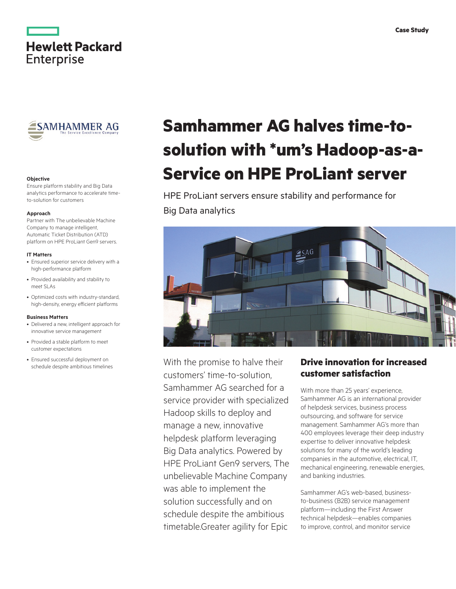

**Hewlett Packard** 

**Enterprise** 

## **Objective**

Ensure platform stability and Big Data analytics performance to accelerate timeto-solution for customers

## **Approach**

Partner with The unbelievable Machine Company to manage intelligent, Automatic Ticket Distribution (ATD) platform on HPE ProLiant Gen9 servers.

## **IT Matters**

- Ensured superior service delivery with a high-performance platform
- Provided availability and stability to meet SLAs
- Optimized costs with industry-standard, high-density, energy efficient platforms

#### **Business Matters**

- Delivered a new, intelligent approach for innovative service management
- Provided a stable platform to meet customer expectations
- Ensured successful deployment on schedule despite ambitious timelines

# **Samhammer AG halves time-tosolution with \*um's Hadoop-as-a-Service on HPE ProLiant server**

HPE ProLiant servers ensure stability and performance for Big Data analytics



With the promise to halve their customers' time-to-solution, Samhammer AG searched for a service provider with specialized Hadoop skills to deploy and manage a new, innovative helpdesk platform leveraging Big Data analytics. Powered by HPE ProLiant Gen9 servers, The unbelievable Machine Company was able to implement the solution successfully and on schedule despite the ambitious timetable.Greater agility for Epic

## **Drive innovation for increased customer satisfaction**

With more than 25 years' experience, Samhammer AG is an international provider of helpdesk services, business process outsourcing, and software for service management. Samhammer AG's more than 400 employees leverage their deep industry expertise to deliver innovative helpdesk solutions for many of the world's leading companies in the automotive, electrical, IT, mechanical engineering, renewable energies, and banking industries.

Samhammer AG's web-based, businessto-business (B2B) service management platform—including the First Answer technical helpdesk—enables companies to improve, control, and monitor service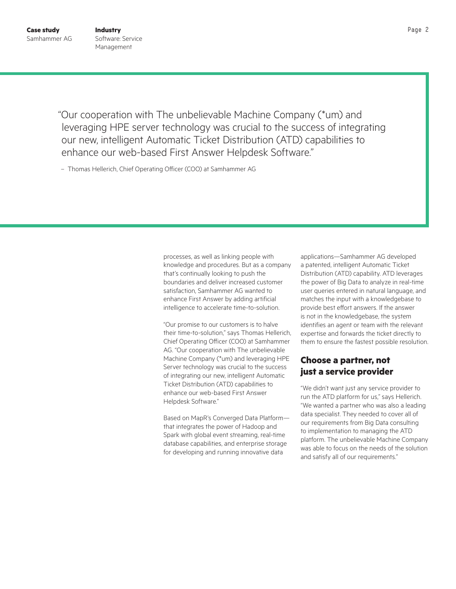**Case study** Page 2 **Industry** Software: Service Management

"Our cooperation with The unbelievable Machine Company (\*um) and leveraging HPE server technology was crucial to the success of integrating our new, intelligent Automatic Ticket Distribution (ATD) capabilities to enhance our web-based First Answer Helpdesk Software."

– Thomas Hellerich, Chief Operating Officer (COO) at Samhammer AG

processes, as well as linking people with knowledge and procedures. But as a company that's continually looking to push the boundaries and deliver increased customer satisfaction, Samhammer AG wanted to enhance First Answer by adding artificial intelligence to accelerate time-to-solution.

"Our promise to our customers is to halve their time-to-solution," says Thomas Hellerich, Chief Operating Officer (COO) at Samhammer AG. "Our cooperation with The unbelievable Machine Company (\*um) and leveraging HPE Server technology was crucial to the success of integrating our new, intelligent Automatic Ticket Distribution (ATD) capabilities to enhance our web-based First Answer Helpdesk Software."

Based on MapR's Converged Data Platform that integrates the power of Hadoop and Spark with global event streaming, real-time database capabilities, and enterprise storage for developing and running innovative data

applications—Samhammer AG developed a patented, intelligent Automatic Ticket Distribution (ATD) capability. ATD leverages the power of Big Data to analyze in real-time user queries entered in natural language, and matches the input with a knowledgebase to provide best effort answers. If the answer is not in the knowledgebase, the system identifies an agent or team with the relevant expertise and forwards the ticket directly to them to ensure the fastest possible resolution.

## **Choose a partner, not just a service provider**

"We didn't want just any service provider to run the ATD platform for us," says Hellerich. "We wanted a partner who was also a leading data specialist. They needed to cover all of our requirements from Big Data consulting to implementation to managing the ATD platform. The unbelievable Machine Company was able to focus on the needs of the solution and satisfy all of our requirements."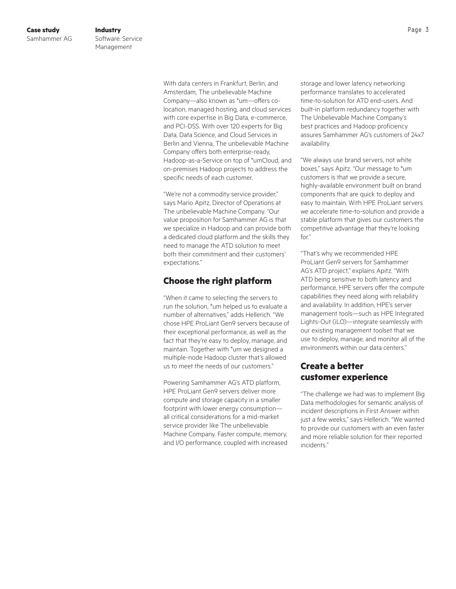With data centers in Frankfurt, Berlin, and Amsterdam, The unbelievable Machine Company—also known as \*um—offers colocation, managed hosting, and cloud services with core expertise in Big Data, e-commerce, and PCI-DSS. With over 120 experts for Big Data, Data Science, and Cloud Services in Berlin and Vienna, The unbelievable Machine Company offers both enterprise-ready, Hadoop-as-a-Service on top of \*umCloud, and on-premises Hadoop projects to address the specific needs of each customer.

"We're not a commodity service provider," says Mario Apitz, Director of Operations at The unbelievable Machine Company. "Our value proposition for Samhammer AG is that we specialize in Hadoop and can provide both a dedicated cloud platform and the skills they need to manage the ATD solution to meet both their commitment and their customers' expectations."

## **Choose the right platform**

"When it came to selecting the servers to run the solution, \*um helped us to evaluate a number of alternatives," adds Hellerich. "We chose HPE ProLiant Gen9 servers because of their exceptional performance, as well as the fact that they're easy to deploy, manage, and maintain. Together with \*um we designed a multiple-node Hadoop cluster that's allowed us to meet the needs of our customers."

Powering Samhammer AG's ATD platform, HPE ProLiant Gen9 servers deliver more compute and storage capacity in a smaller footprint with lower energy consumption all critical considerations for a mid-market service provider like The unbelievable Machine Company. Faster compute, memory, and I/O performance, coupled with increased storage and lower latency networking performance translates to accelerated time-to-solution for ATD end-users. And built-in platform redundancy together with The Unbelievable Machine Company's best practices and Hadoop proficiency assures Samhammer AG's customers of 24x7 availability.

"We always use brand servers, not white boxes," says Apitz. "Our message to \*um customers is that we provide a secure, highly-available environment built on brand components that are quick to deploy and easy to maintain. With HPE ProLiant servers we accelerate time-to-solution and provide a stable platform that gives our customers the competitive advantage that they're looking for."

"That's why we recommended HPE ProLiant Gen9 servers for Samhammer AG's ATD project," explains Apitz. "With ATD being sensitive to both latency and performance, HPE servers offer the compute capabilities they need along with reliability and availability. In addition, HPE's server management tools—such as HPE Integrated Lights-Out (iLO)—integrate seamlessly with our existing management toolset that we use to deploy, manage, and monitor all of the environments within our data centers."

## **Create a better customer experience**

"The challenge we had was to implement Big Data methodologies for semantic analysis of incident descriptions in First Answer within just a few weeks," says Hellerich. "We wanted to provide our customers with an even faster and more reliable solution for their reported incidents."